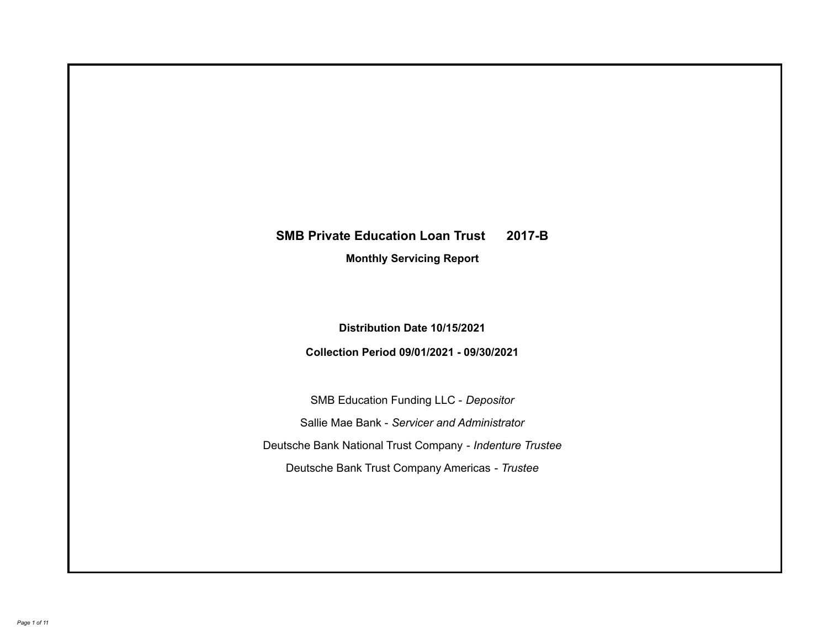# **SMB Private Education Loan Trust 2017-B**

**Monthly Servicing Report**

**Distribution Date 10/15/2021**

**Collection Period 09/01/2021 - 09/30/2021**

SMB Education Funding LLC - *Depositor* Sallie Mae Bank - *Servicer and Administrator* Deutsche Bank National Trust Company - *Indenture Trustee* Deutsche Bank Trust Company Americas - *Trustee*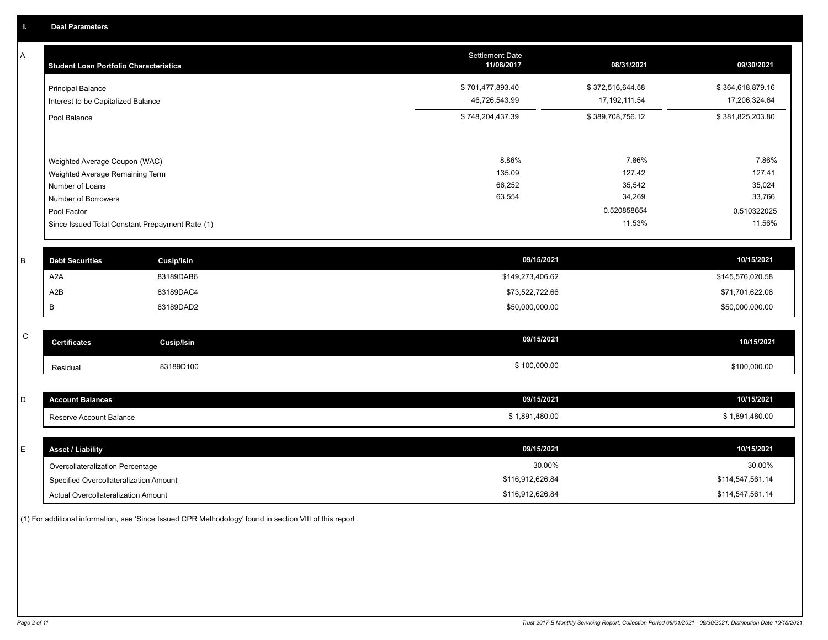A

| A            | <b>Student Loan Portfolio Characteristics</b>   |                   | <b>Settlement Date</b><br>11/08/2017 | 08/31/2021       | 09/30/2021       |
|--------------|-------------------------------------------------|-------------------|--------------------------------------|------------------|------------------|
|              | <b>Principal Balance</b>                        |                   | \$701,477,893.40                     | \$372,516,644.58 | \$364,618,879.16 |
|              | Interest to be Capitalized Balance              |                   | 46,726,543.99                        | 17, 192, 111.54  | 17,206,324.64    |
|              | Pool Balance                                    |                   | \$748,204,437.39                     | \$389,708,756.12 | \$381,825,203.80 |
|              |                                                 |                   |                                      |                  |                  |
|              | Weighted Average Coupon (WAC)                   |                   | 8.86%                                | 7.86%            | 7.86%            |
|              | Weighted Average Remaining Term                 |                   | 135.09                               | 127.42           | 127.41           |
|              | Number of Loans                                 |                   | 66,252<br>63,554                     | 35,542<br>34,269 | 35,024<br>33,766 |
|              | Number of Borrowers<br>Pool Factor              |                   |                                      | 0.520858654      | 0.510322025      |
|              |                                                 |                   |                                      | 11.53%           | 11.56%           |
|              | Since Issued Total Constant Prepayment Rate (1) |                   |                                      |                  |                  |
|              |                                                 |                   |                                      |                  |                  |
| B            | <b>Debt Securities</b>                          | Cusip/Isin        | 09/15/2021                           |                  | 10/15/2021       |
|              | A <sub>2</sub> A                                | 83189DAB6         | \$149,273,406.62                     |                  | \$145,576,020.58 |
|              | A2B                                             | 83189DAC4         | \$73,522,722.66                      |                  | \$71,701,622.08  |
|              | B                                               | 83189DAD2         | \$50,000,000.00                      |                  | \$50,000,000.00  |
|              |                                                 |                   |                                      |                  |                  |
| $\mathsf{C}$ | <b>Certificates</b>                             | <b>Cusip/Isin</b> | 09/15/2021                           |                  | 10/15/2021       |
|              | Residual                                        | 83189D100         | \$100,000.00                         |                  | \$100,000.00     |
|              |                                                 |                   |                                      |                  |                  |
| D            | <b>Account Balances</b>                         |                   | 09/15/2021                           |                  | 10/15/2021       |
|              | Reserve Account Balance                         |                   | \$1,891,480.00                       |                  | \$1,891,480.00   |
|              |                                                 |                   |                                      |                  |                  |
| E            | <b>Asset / Liability</b>                        |                   | 09/15/2021                           |                  | 10/15/2021       |
|              | Overcollateralization Percentage                |                   | 30.00%                               |                  | 30.00%           |

Actual Overcollateralization Amount \$116,912,626.84 Specified Overcollateralization Amount

(1) For additional information, see 'Since Issued CPR Methodology' found in section VIII of this report .

\$114,547,561.14 \$114,547,561.14

\$116,912,626.84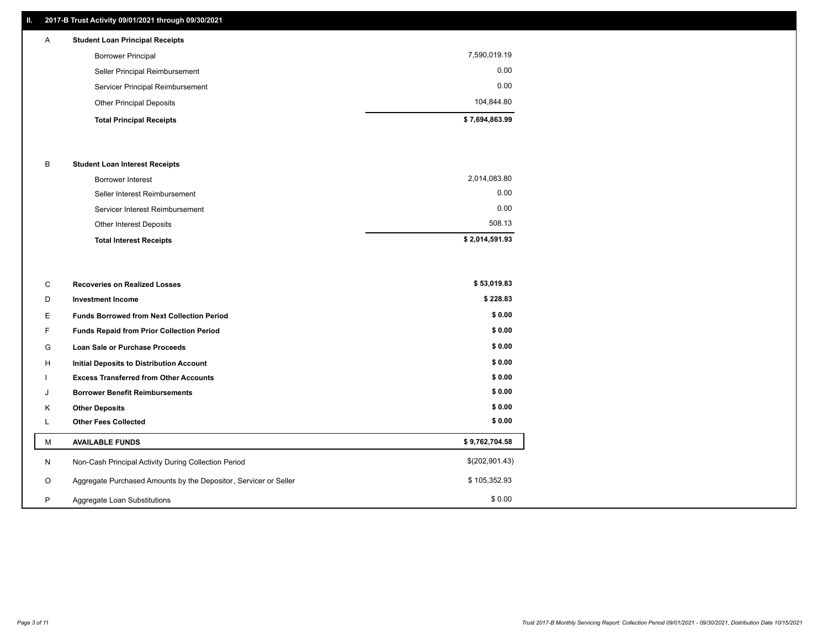# **II. 2017-B Trust Activity 09/01/2021 through 09/30/2021**

| $\mathsf{A}$ | <b>Student Loan Principal Receipts</b> |                |
|--------------|----------------------------------------|----------------|
|              | <b>Borrower Principal</b>              | 7,590,019.19   |
|              | Seller Principal Reimbursement         | 0.00           |
|              | Servicer Principal Reimbursement       | 0.00           |
|              | <b>Other Principal Deposits</b>        | 104,844.80     |
|              | <b>Total Principal Receipts</b>        | \$7,694,863.99 |

## B **Student Loan Interest Receipts**

| <b>Total Interest Receipts</b>  | \$2,014,591.93 |
|---------------------------------|----------------|
| Other Interest Deposits         | 508.13         |
| Servicer Interest Reimbursement | 0.00           |
| Seller Interest Reimbursement   | 0.00           |
| Borrower Interest               | 2,014,083.80   |

| C       | <b>Recoveries on Realized Losses</b>                             | \$53,019.83    |
|---------|------------------------------------------------------------------|----------------|
| D       | <b>Investment Income</b>                                         | \$228.83       |
| Е       | <b>Funds Borrowed from Next Collection Period</b>                | \$0.00         |
| F.      | <b>Funds Repaid from Prior Collection Period</b>                 | \$0.00         |
| G       | Loan Sale or Purchase Proceeds                                   | \$0.00         |
| Н       | Initial Deposits to Distribution Account                         | \$0.00         |
|         | <b>Excess Transferred from Other Accounts</b>                    | \$0.00         |
| J       | <b>Borrower Benefit Reimbursements</b>                           | \$0.00         |
| K       | <b>Other Deposits</b>                                            | \$0.00         |
| ┗       | <b>Other Fees Collected</b>                                      | \$0.00         |
| M       | <b>AVAILABLE FUNDS</b>                                           | \$9,762,704.58 |
| N       | Non-Cash Principal Activity During Collection Period             | \$(202,901.43) |
| $\circ$ | Aggregate Purchased Amounts by the Depositor, Servicer or Seller | \$105,352.93   |
| P       | Aggregate Loan Substitutions                                     | \$0.00         |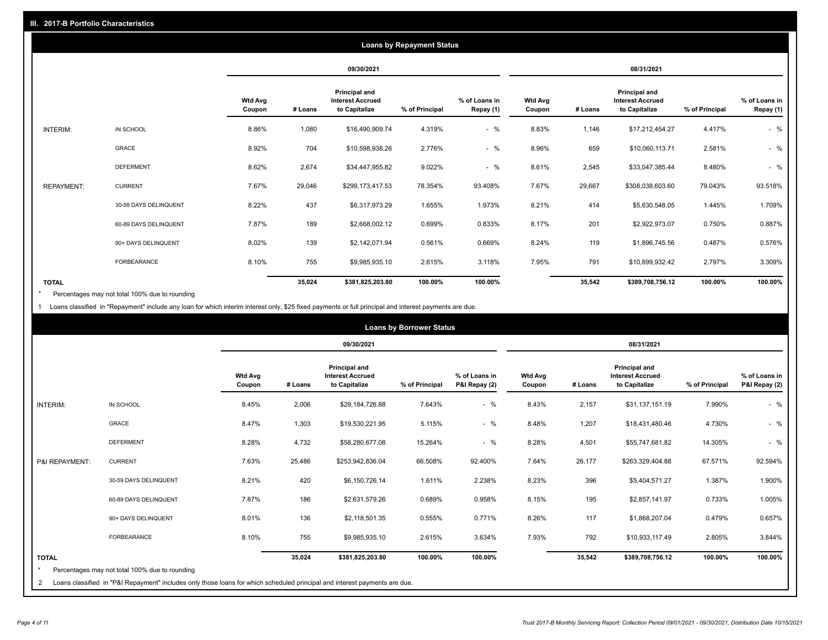|                   |                       | <b>Loans by Repayment Status</b> |            |                                                                  |                |                            |                          |         |                                                           |                |                            |
|-------------------|-----------------------|----------------------------------|------------|------------------------------------------------------------------|----------------|----------------------------|--------------------------|---------|-----------------------------------------------------------|----------------|----------------------------|
|                   |                       |                                  | 09/30/2021 |                                                                  |                | 08/31/2021                 |                          |         |                                                           |                |                            |
|                   |                       | <b>Wtd Avg</b><br>Coupon         | # Loans    | <b>Principal and</b><br><b>Interest Accrued</b><br>to Capitalize | % of Principal | % of Loans in<br>Repay (1) | <b>Wtd Avg</b><br>Coupon | # Loans | Principal and<br><b>Interest Accrued</b><br>to Capitalize | % of Principal | % of Loans in<br>Repay (1) |
| INTERIM:          | IN SCHOOL             | 8.86%                            | 1,080      | \$16,490,909.74                                                  | 4.319%         | $-$ %                      | 8.83%                    | 1,146   | \$17,212,454.27                                           | 4.417%         | $-$ %                      |
|                   | GRACE                 | 8.92%                            | 704        | \$10,598,938.26                                                  | 2.776%         | $-$ %                      | 8.96%                    | 659     | \$10,060,113.71                                           | 2.581%         | $-$ %                      |
|                   | <b>DEFERMENT</b>      | 8.62%                            | 2,674      | \$34,447,955.82                                                  | 9.022%         | $-$ %                      | 8.61%                    | 2,545   | \$33,047,385.44                                           | 8.480%         | $-$ %                      |
| <b>REPAYMENT:</b> | <b>CURRENT</b>        | 7.67%                            | 29,046     | \$299,173,417.53                                                 | 78.354%        | 93.408%                    | 7.67%                    | 29,667  | \$308,038,603.60                                          | 79.043%        | 93.518%                    |
|                   | 30-59 DAYS DELINQUENT | 8.22%                            | 437        | \$6,317,973.29                                                   | 1.655%         | 1.973%                     | 8.21%                    | 414     | \$5,630,548.05                                            | 1.445%         | 1.709%                     |
|                   | 60-89 DAYS DELINQUENT | 7.87%                            | 189        | \$2,668,002.12                                                   | 0.699%         | 0.833%                     | 8.17%                    | 201     | \$2,922,973.07                                            | 0.750%         | 0.887%                     |
|                   | 90+ DAYS DELINQUENT   | 8.02%                            | 139        | \$2,142,071.94                                                   | 0.561%         | 0.669%                     | 8.24%                    | 119     | \$1,896,745.56                                            | 0.487%         | 0.576%                     |
|                   | <b>FORBEARANCE</b>    | 8.10%                            | 755        | \$9,985,935.10                                                   | 2.615%         | 3.118%                     | 7.95%                    | 791     | \$10,899,932.42                                           | 2.797%         | 3.309%                     |
| <b>TOTAL</b>      |                       |                                  | 35,024     | \$381,825,203.80                                                 | 100.00%        | 100.00%                    |                          | 35,542  | \$389,708,756.12                                          | 100.00%        | 100.00%                    |

Percentages may not total 100% due to rounding \*

1 Loans classified in "Repayment" include any loan for which interim interest only, \$25 fixed payments or full principal and interest payments are due.

|                              |                                                                                                                                                                              | <b>Loans by Borrower Status</b> |         |                                                           |                |                                |                          |         |                                                                  |                |                                |
|------------------------------|------------------------------------------------------------------------------------------------------------------------------------------------------------------------------|---------------------------------|---------|-----------------------------------------------------------|----------------|--------------------------------|--------------------------|---------|------------------------------------------------------------------|----------------|--------------------------------|
|                              |                                                                                                                                                                              |                                 |         | 09/30/2021                                                |                |                                | 08/31/2021               |         |                                                                  |                |                                |
|                              |                                                                                                                                                                              | <b>Wtd Avg</b><br>Coupon        | # Loans | Principal and<br><b>Interest Accrued</b><br>to Capitalize | % of Principal | % of Loans in<br>P&I Repay (2) | <b>Wtd Avg</b><br>Coupon | # Loans | <b>Principal and</b><br><b>Interest Accrued</b><br>to Capitalize | % of Principal | % of Loans in<br>P&I Repay (2) |
| <b>INTERIM:</b>              | IN SCHOOL                                                                                                                                                                    | 8.45%                           | 2,006   | \$29,184,726.88                                           | 7.643%         | $-$ %                          | 8.43%                    | 2,157   | \$31,137,151.19                                                  | 7.990%         | $-$ %                          |
|                              | <b>GRACE</b>                                                                                                                                                                 | 8.47%                           | 1,303   | \$19,530,221.95                                           | 5.115%         | $-$ %                          | 8.48%                    | 1,207   | \$18,431,480.46                                                  | 4.730%         | $-$ %                          |
|                              | <b>DEFERMENT</b>                                                                                                                                                             | 8.28%                           | 4,732   | \$58,280,677.08                                           | 15.264%        | $-$ %                          | 8.28%                    | 4,501   | \$55,747,681.82                                                  | 14.305%        | $-$ %                          |
| P&I REPAYMENT:               | <b>CURRENT</b>                                                                                                                                                               | 7.63%                           | 25,486  | \$253,942,836.04                                          | 66.508%        | 92.400%                        | 7.64%                    | 26,177  | \$263,329,404.88                                                 | 67.571%        | 92.594%                        |
|                              | 30-59 DAYS DELINQUENT                                                                                                                                                        | 8.21%                           | 420     | \$6,150,726.14                                            | 1.611%         | 2.238%                         | 8.23%                    | 396     | \$5,404,571.27                                                   | 1.387%         | 1.900%                         |
|                              | 60-89 DAYS DELINQUENT                                                                                                                                                        | 7.87%                           | 186     | \$2,631,579.26                                            | 0.689%         | 0.958%                         | 8.15%                    | 195     | \$2,857,141.97                                                   | 0.733%         | 1.005%                         |
|                              | 90+ DAYS DELINQUENT                                                                                                                                                          | 8.01%                           | 136     | \$2,118,501.35                                            | 0.555%         | 0.771%                         | 8.26%                    | 117     | \$1,868,207.04                                                   | 0.479%         | 0.657%                         |
|                              | FORBEARANCE                                                                                                                                                                  | 8.10%                           | 755     | \$9,985,935.10                                            | 2.615%         | 3.634%                         | 7.93%                    | 792     | \$10,933,117.49                                                  | 2.805%         | 3.844%                         |
| <b>TOTAL</b><br>$\star$<br>2 | Percentages may not total 100% due to rounding<br>Loans classified in "P&I Repayment" includes only those loans for which scheduled principal and interest payments are due. |                                 | 35,024  | \$381,825,203.80                                          | 100.00%        | 100.00%                        |                          | 35,542  | \$389,708,756.12                                                 | 100.00%        | 100.00%                        |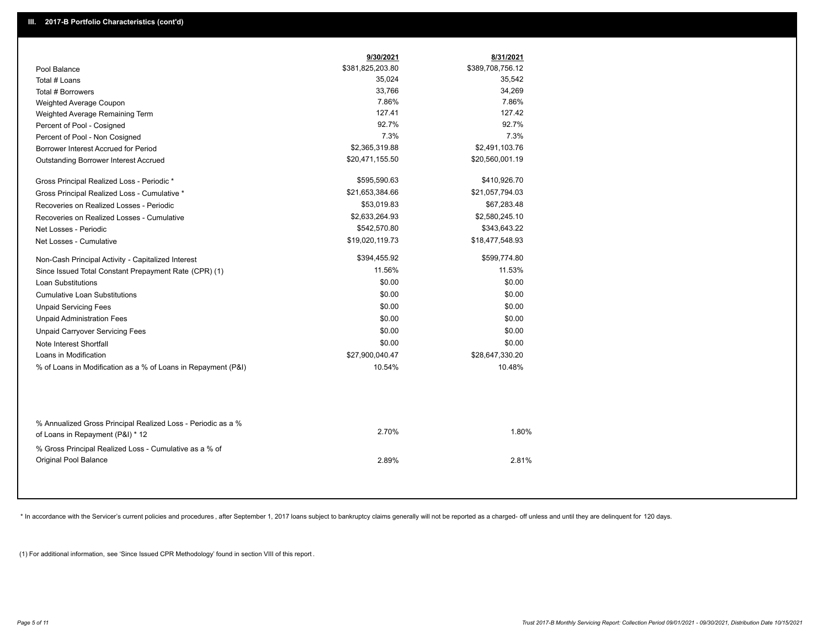|                                                                                                  | 9/30/2021        | 8/31/2021        |
|--------------------------------------------------------------------------------------------------|------------------|------------------|
| Pool Balance                                                                                     | \$381,825,203.80 | \$389,708,756.12 |
| Total # Loans                                                                                    | 35,024           | 35,542           |
| Total # Borrowers                                                                                | 33,766           | 34,269           |
| Weighted Average Coupon                                                                          | 7.86%            | 7.86%            |
| Weighted Average Remaining Term                                                                  | 127.41           | 127.42           |
| Percent of Pool - Cosigned                                                                       | 92.7%            | 92.7%            |
| Percent of Pool - Non Cosigned                                                                   | 7.3%             | 7.3%             |
| Borrower Interest Accrued for Period                                                             | \$2,365,319.88   | \$2,491,103.76   |
| Outstanding Borrower Interest Accrued                                                            | \$20,471,155.50  | \$20,560,001.19  |
| Gross Principal Realized Loss - Periodic *                                                       | \$595,590.63     | \$410,926.70     |
| Gross Principal Realized Loss - Cumulative *                                                     | \$21,653,384.66  | \$21,057,794.03  |
| Recoveries on Realized Losses - Periodic                                                         | \$53,019.83      | \$67,283.48      |
| Recoveries on Realized Losses - Cumulative                                                       | \$2,633,264.93   | \$2,580,245.10   |
| Net Losses - Periodic                                                                            | \$542,570.80     | \$343,643.22     |
| Net Losses - Cumulative                                                                          | \$19,020,119.73  | \$18,477,548.93  |
| Non-Cash Principal Activity - Capitalized Interest                                               | \$394,455.92     | \$599,774.80     |
| Since Issued Total Constant Prepayment Rate (CPR) (1)                                            | 11.56%           | 11.53%           |
| Loan Substitutions                                                                               | \$0.00           | \$0.00           |
| <b>Cumulative Loan Substitutions</b>                                                             | \$0.00           | \$0.00           |
| <b>Unpaid Servicing Fees</b>                                                                     | \$0.00           | \$0.00           |
| <b>Unpaid Administration Fees</b>                                                                | \$0.00           | \$0.00           |
| <b>Unpaid Carryover Servicing Fees</b>                                                           | \$0.00           | \$0.00           |
| Note Interest Shortfall                                                                          | \$0.00           | \$0.00           |
| Loans in Modification                                                                            | \$27,900,040.47  | \$28,647,330.20  |
| % of Loans in Modification as a % of Loans in Repayment (P&I)                                    | 10.54%           | 10.48%           |
|                                                                                                  |                  |                  |
| % Annualized Gross Principal Realized Loss - Periodic as a %<br>of Loans in Repayment (P&I) * 12 | 2.70%            | 1.80%            |
| % Gross Principal Realized Loss - Cumulative as a % of                                           |                  |                  |
| Original Pool Balance                                                                            | 2.89%            | 2.81%            |

\* In accordance with the Servicer's current policies and procedures, after September 1, 2017 loans subject to bankruptcy claims generally will not be reported as a charged- off unless and until they are delinquent for 120

(1) For additional information, see 'Since Issued CPR Methodology' found in section VIII of this report .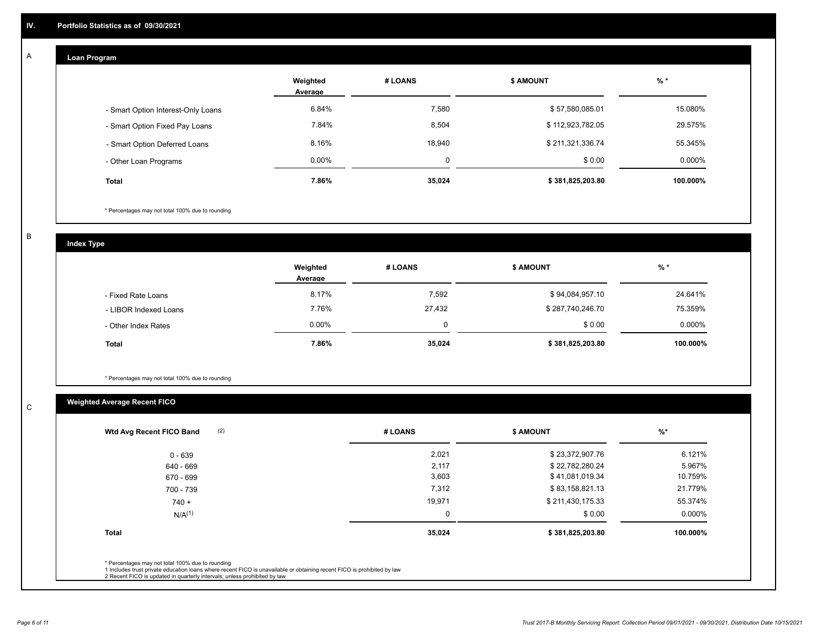#### **Loan Program**  A

|                                    | Weighted<br>Average | # LOANS | <b>\$ AMOUNT</b> | $%$ *    |
|------------------------------------|---------------------|---------|------------------|----------|
| - Smart Option Interest-Only Loans | 6.84%               | 7,580   | \$57,580,085.01  | 15.080%  |
| - Smart Option Fixed Pay Loans     | 7.84%               | 8,504   | \$112,923,782.05 | 29.575%  |
| - Smart Option Deferred Loans      | 8.16%               | 18.940  | \$211,321,336.74 | 55.345%  |
| - Other Loan Programs              | $0.00\%$            |         | \$0.00           | 0.000%   |
| <b>Total</b>                       | 7.86%               | 35,024  | \$381,825,203.80 | 100.000% |

\* Percentages may not total 100% due to rounding

B

C

**Index Type**

|                       | Weighted<br>Average | # LOANS | <b>\$ AMOUNT</b> | $%$ *     |
|-----------------------|---------------------|---------|------------------|-----------|
| - Fixed Rate Loans    | 8.17%               | 7,592   | \$94,084,957.10  | 24.641%   |
| - LIBOR Indexed Loans | 7.76%               | 27,432  | \$287,740,246.70 | 75.359%   |
| - Other Index Rates   | $0.00\%$            |         | \$0.00           | $0.000\%$ |
| <b>Total</b>          | 7.86%               | 35,024  | \$381,825,203.80 | 100.000%  |

\* Percentages may not total 100% due to rounding

# **Weighted Average Recent FICO**

| # LOANS | <b>\$ AMOUNT</b> | $%$ *    |
|---------|------------------|----------|
| 2,021   | \$23,372,907.76  | 6.121%   |
| 2,117   | \$22,782,280.24  | 5.967%   |
| 3,603   | \$41,081,019.34  | 10.759%  |
| 7,312   | \$83,158,821.13  | 21.779%  |
| 19,971  | \$211,430,175.33 | 55.374%  |
| 0       | \$0.00           | 0.000%   |
| 35,024  | \$381,825,203.80 | 100.000% |
|         |                  |          |
|         |                  |          |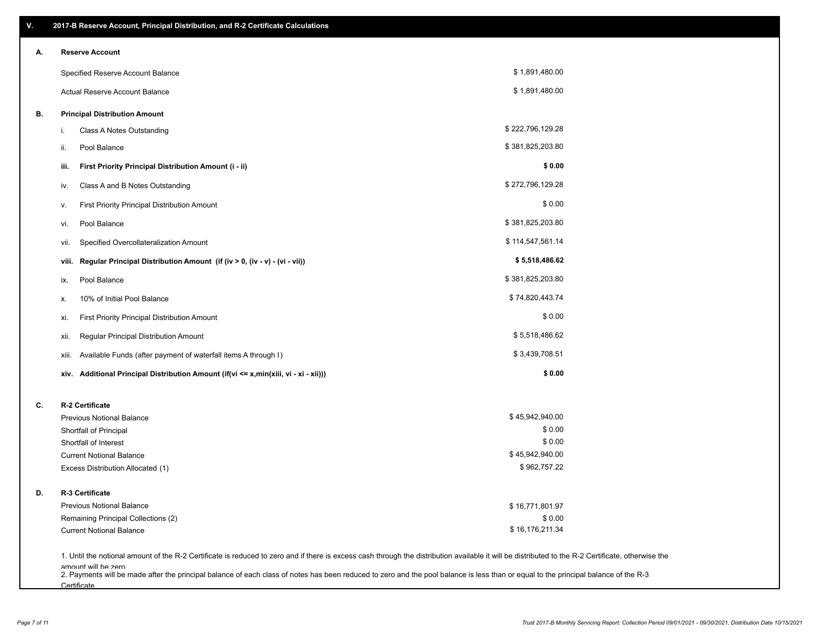| Α. | <b>Reserve Account</b>                                        |                                                                                      |                  |  |
|----|---------------------------------------------------------------|--------------------------------------------------------------------------------------|------------------|--|
|    | Specified Reserve Account Balance                             |                                                                                      | \$1,891,480.00   |  |
|    | Actual Reserve Account Balance                                |                                                                                      | \$1,891,480.00   |  |
| В. | <b>Principal Distribution Amount</b>                          |                                                                                      |                  |  |
|    | Class A Notes Outstanding<br>i.                               |                                                                                      | \$222,796,129.28 |  |
|    | Pool Balance<br>ii.                                           |                                                                                      | \$381,825,203.80 |  |
|    | First Priority Principal Distribution Amount (i - ii)<br>iii. |                                                                                      | \$0.00           |  |
|    | Class A and B Notes Outstanding<br>iv.                        |                                                                                      | \$272,796,129.28 |  |
|    | First Priority Principal Distribution Amount<br>۷.            |                                                                                      | \$0.00           |  |
|    | Pool Balance<br>vi.                                           |                                                                                      | \$381,825,203.80 |  |
|    | Specified Overcollateralization Amount<br>vii.                |                                                                                      | \$114,547,561.14 |  |
|    | viii.                                                         | Regular Principal Distribution Amount (if (iv > 0, (iv - v) - (vi - vii))            | \$5,518,486.62   |  |
|    | Pool Balance<br>ix.                                           |                                                                                      | \$381,825,203.80 |  |
|    | 10% of Initial Pool Balance<br>х.                             |                                                                                      | \$74,820,443.74  |  |
|    | First Priority Principal Distribution Amount<br>xi.           |                                                                                      | \$0.00           |  |
|    | Regular Principal Distribution Amount<br>xii.                 |                                                                                      | \$5,518,486.62   |  |
|    |                                                               | Available Funds (after payment of waterfall items A through I)                       | \$3,439,708.51   |  |
|    | xiii.                                                         |                                                                                      |                  |  |
|    |                                                               | xiv. Additional Principal Distribution Amount (if(vi <= x,min(xiii, vi - xi - xii))) | \$0.00           |  |
| C. | R-2 Certificate                                               |                                                                                      |                  |  |
|    | <b>Previous Notional Balance</b>                              |                                                                                      | \$45,942,940.00  |  |
|    | Shortfall of Principal                                        |                                                                                      | \$0.00           |  |
|    | Shortfall of Interest                                         |                                                                                      | \$0.00           |  |
|    | <b>Current Notional Balance</b>                               |                                                                                      | \$45,942,940.00  |  |
|    | Excess Distribution Allocated (1)                             |                                                                                      | \$962,757.22     |  |
| D. | R-3 Certificate                                               |                                                                                      |                  |  |
|    | <b>Previous Notional Balance</b>                              |                                                                                      | \$16,771,801.97  |  |
|    | Remaining Principal Collections (2)                           |                                                                                      | \$0.00           |  |
|    | <b>Current Notional Balance</b>                               |                                                                                      | \$16,176,211.34  |  |

amount will be zero<br>2. Payments will be made after the principal balance of each class of notes has been reduced to zero and the pool balance is less than or equal to the principal balance of the R-3 **Certificate**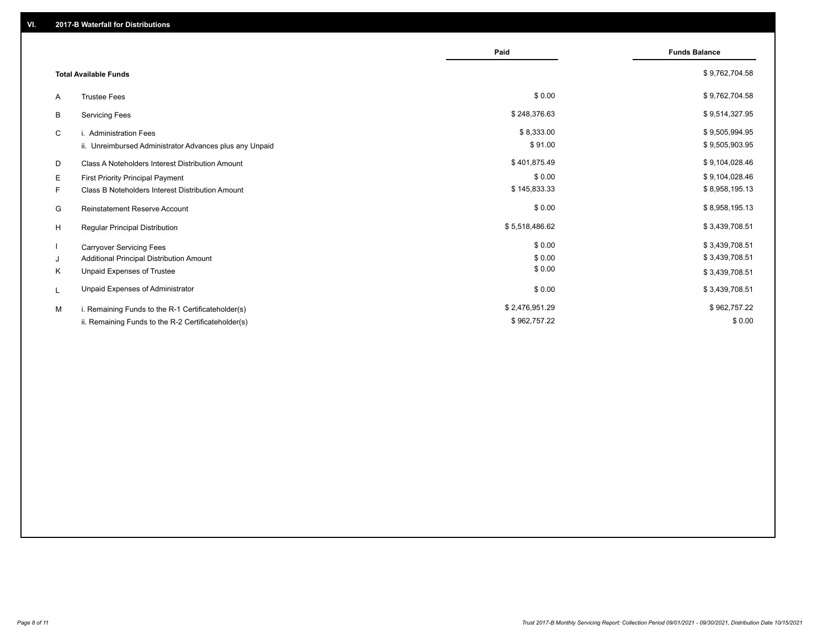|                                                         | Paid           | <b>Funds Balance</b> |
|---------------------------------------------------------|----------------|----------------------|
| <b>Total Available Funds</b>                            |                | \$9,762,704.58       |
| <b>Trustee Fees</b><br>A                                | \$0.00         | \$9,762,704.58       |
| В<br><b>Servicing Fees</b>                              | \$248,376.63   | \$9,514,327.95       |
| C<br>i. Administration Fees                             | \$8,333.00     | \$9,505,994.95       |
| ii. Unreimbursed Administrator Advances plus any Unpaid | \$91.00        | \$9,505,903.95       |
| Class A Noteholders Interest Distribution Amount<br>D   | \$401,875.49   | \$9,104,028.46       |
| Е<br>First Priority Principal Payment                   | \$0.00         | \$9,104,028.46       |
| F.<br>Class B Noteholders Interest Distribution Amount  | \$145,833.33   | \$8,958,195.13       |
| G<br><b>Reinstatement Reserve Account</b>               | \$0.00         | \$8,958,195.13       |
| H<br>Regular Principal Distribution                     | \$5,518,486.62 | \$3,439,708.51       |
| <b>Carryover Servicing Fees</b>                         | \$0.00         | \$3,439,708.51       |
| Additional Principal Distribution Amount<br>J           | \$0.00         | \$3,439,708.51       |
| Κ<br>Unpaid Expenses of Trustee                         | \$0.00         | \$3,439,708.51       |
| Unpaid Expenses of Administrator<br>L                   | \$0.00         | \$3,439,708.51       |
| M<br>i. Remaining Funds to the R-1 Certificateholder(s) | \$2,476,951.29 | \$962,757.22         |
| ii. Remaining Funds to the R-2 Certificateholder(s)     | \$962,757.22   | \$0.00               |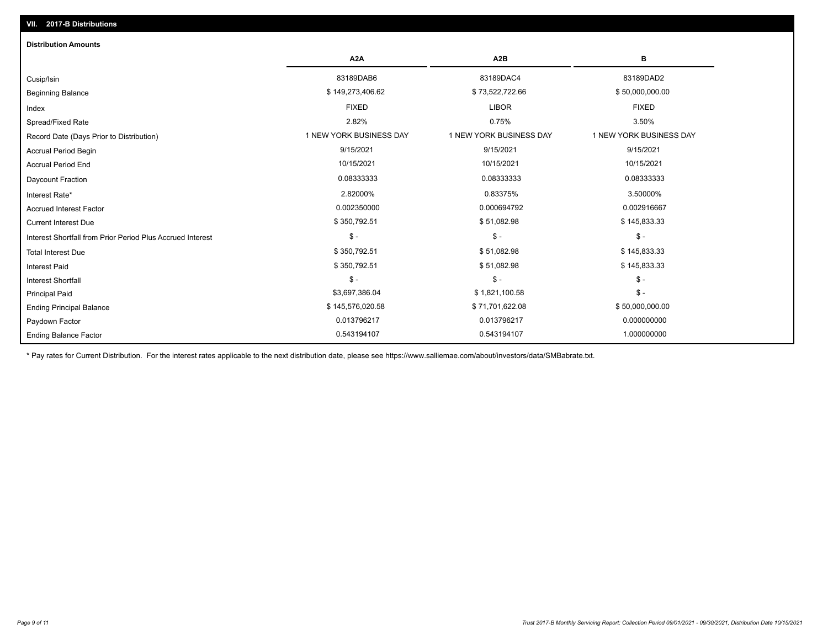| <b>Distribution Amounts</b>                                |                         |                         |                         |
|------------------------------------------------------------|-------------------------|-------------------------|-------------------------|
|                                                            | A <sub>2</sub> A        | A <sub>2</sub> B        | в                       |
| Cusip/Isin                                                 | 83189DAB6               | 83189DAC4               | 83189DAD2               |
| <b>Beginning Balance</b>                                   | \$149,273,406.62        | \$73,522,722.66         | \$50,000,000.00         |
| Index                                                      | <b>FIXED</b>            | <b>LIBOR</b>            | <b>FIXED</b>            |
| Spread/Fixed Rate                                          | 2.82%                   | 0.75%                   | 3.50%                   |
| Record Date (Days Prior to Distribution)                   | 1 NEW YORK BUSINESS DAY | 1 NEW YORK BUSINESS DAY | 1 NEW YORK BUSINESS DAY |
| <b>Accrual Period Begin</b>                                | 9/15/2021               | 9/15/2021               | 9/15/2021               |
| <b>Accrual Period End</b>                                  | 10/15/2021              | 10/15/2021              | 10/15/2021              |
| Daycount Fraction                                          | 0.08333333              | 0.08333333              | 0.08333333              |
| Interest Rate*                                             | 2.82000%                | 0.83375%                | 3.50000%                |
| <b>Accrued Interest Factor</b>                             | 0.002350000             | 0.000694792             | 0.002916667             |
| <b>Current Interest Due</b>                                | \$350,792.51            | \$51,082.98             | \$145,833.33            |
| Interest Shortfall from Prior Period Plus Accrued Interest | $\frac{1}{2}$           | $\frac{1}{2}$           | $\mathcal{S}$ -         |
| <b>Total Interest Due</b>                                  | \$350,792.51            | \$51,082.98             | \$145,833.33            |
| <b>Interest Paid</b>                                       | \$350,792.51            | \$51,082.98             | \$145,833.33            |
| <b>Interest Shortfall</b>                                  | $\mathsf{\$}$ -         | $$ -$                   | $$ -$                   |
| <b>Principal Paid</b>                                      | \$3,697,386.04          | \$1,821,100.58          | $$ -$                   |
| <b>Ending Principal Balance</b>                            | \$145,576,020.58        | \$71,701,622.08         | \$50,000,000.00         |
| Paydown Factor                                             | 0.013796217             | 0.013796217             | 0.000000000             |
| <b>Ending Balance Factor</b>                               | 0.543194107             | 0.543194107             | 1.000000000             |

\* Pay rates for Current Distribution. For the interest rates applicable to the next distribution date, please see https://www.salliemae.com/about/investors/data/SMBabrate.txt.

**VII. 2017-B Distributions**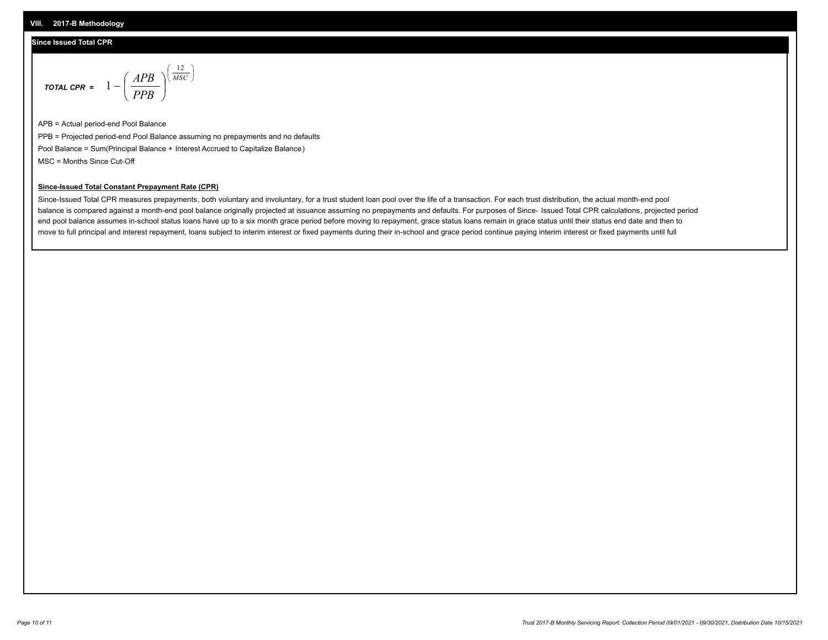### **Since Issued Total CPR**

$$
\text{total cPR} = 1 - \left(\frac{APB}{PPB}\right)^{\left(\frac{12}{MSC}\right)}
$$

APB = Actual period-end Pool Balance PPB = Projected period-end Pool Balance assuming no prepayments and no defaults Pool Balance = Sum(Principal Balance + Interest Accrued to Capitalize Balance) MSC = Months Since Cut-Off

I J Ι

#### **Since-Issued Total Constant Prepayment Rate (CPR)**

Since-Issued Total CPR measures prepayments, both voluntary and involuntary, for a trust student loan pool over the life of a transaction. For each trust distribution, the actual month-end pool balance is compared against a month-end pool balance originally projected at issuance assuming no prepayments and defaults. For purposes of Since- Issued Total CPR calculations, projected period end pool balance assumes in-school status loans have up to a six month grace period before moving to repayment, grace status loans remain in grace status until their status end date and then to move to full principal and interest repayment, loans subject to interim interest or fixed payments during their in-school and grace period continue paying interim interest or fixed payments until full